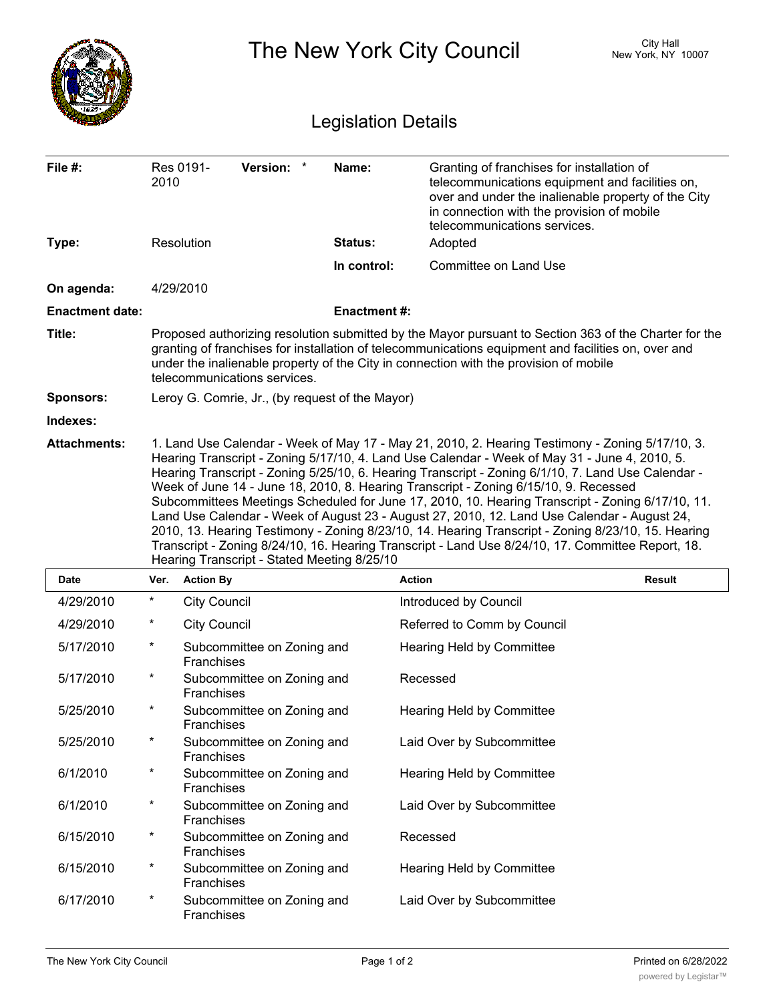|                            |                                                                                                                                                                                                                                                                                                                                                                                                                                                                                                                                                                                                                                                                                                                                                                                                                                                             |                                                                                                                                                                                                                                                                                                                                       |                    | The New York City Council                                                                                                                                                                                                          | <b>City Hall</b><br>New York, NY 10007 |  |  |  |
|----------------------------|-------------------------------------------------------------------------------------------------------------------------------------------------------------------------------------------------------------------------------------------------------------------------------------------------------------------------------------------------------------------------------------------------------------------------------------------------------------------------------------------------------------------------------------------------------------------------------------------------------------------------------------------------------------------------------------------------------------------------------------------------------------------------------------------------------------------------------------------------------------|---------------------------------------------------------------------------------------------------------------------------------------------------------------------------------------------------------------------------------------------------------------------------------------------------------------------------------------|--------------------|------------------------------------------------------------------------------------------------------------------------------------------------------------------------------------------------------------------------------------|----------------------------------------|--|--|--|
| <b>Legislation Details</b> |                                                                                                                                                                                                                                                                                                                                                                                                                                                                                                                                                                                                                                                                                                                                                                                                                                                             |                                                                                                                                                                                                                                                                                                                                       |                    |                                                                                                                                                                                                                                    |                                        |  |  |  |
| File $#$ :                 | 2010                                                                                                                                                                                                                                                                                                                                                                                                                                                                                                                                                                                                                                                                                                                                                                                                                                                        | <b>Version:</b><br>Res 0191-                                                                                                                                                                                                                                                                                                          | Name:              | Granting of franchises for installation of<br>telecommunications equipment and facilities on,<br>over and under the inalienable property of the City<br>in connection with the provision of mobile<br>telecommunications services. |                                        |  |  |  |
| Type:                      |                                                                                                                                                                                                                                                                                                                                                                                                                                                                                                                                                                                                                                                                                                                                                                                                                                                             | Resolution                                                                                                                                                                                                                                                                                                                            | <b>Status:</b>     | Adopted                                                                                                                                                                                                                            |                                        |  |  |  |
|                            |                                                                                                                                                                                                                                                                                                                                                                                                                                                                                                                                                                                                                                                                                                                                                                                                                                                             |                                                                                                                                                                                                                                                                                                                                       | In control:        | Committee on Land Use                                                                                                                                                                                                              |                                        |  |  |  |
| On agenda:                 |                                                                                                                                                                                                                                                                                                                                                                                                                                                                                                                                                                                                                                                                                                                                                                                                                                                             | 4/29/2010                                                                                                                                                                                                                                                                                                                             |                    |                                                                                                                                                                                                                                    |                                        |  |  |  |
| <b>Enactment date:</b>     |                                                                                                                                                                                                                                                                                                                                                                                                                                                                                                                                                                                                                                                                                                                                                                                                                                                             |                                                                                                                                                                                                                                                                                                                                       | <b>Enactment#:</b> |                                                                                                                                                                                                                                    |                                        |  |  |  |
| Title:                     |                                                                                                                                                                                                                                                                                                                                                                                                                                                                                                                                                                                                                                                                                                                                                                                                                                                             | Proposed authorizing resolution submitted by the Mayor pursuant to Section 363 of the Charter for the<br>granting of franchises for installation of telecommunications equipment and facilities on, over and<br>under the inalienable property of the City in connection with the provision of mobile<br>telecommunications services. |                    |                                                                                                                                                                                                                                    |                                        |  |  |  |
| <b>Sponsors:</b>           |                                                                                                                                                                                                                                                                                                                                                                                                                                                                                                                                                                                                                                                                                                                                                                                                                                                             | Leroy G. Comrie, Jr., (by request of the Mayor)                                                                                                                                                                                                                                                                                       |                    |                                                                                                                                                                                                                                    |                                        |  |  |  |
| Indexes:                   |                                                                                                                                                                                                                                                                                                                                                                                                                                                                                                                                                                                                                                                                                                                                                                                                                                                             |                                                                                                                                                                                                                                                                                                                                       |                    |                                                                                                                                                                                                                                    |                                        |  |  |  |
| <b>Attachments:</b>        | 1. Land Use Calendar - Week of May 17 - May 21, 2010, 2. Hearing Testimony - Zoning 5/17/10, 3.<br>Hearing Transcript - Zoning 5/17/10, 4. Land Use Calendar - Week of May 31 - June 4, 2010, 5.<br>Hearing Transcript - Zoning 5/25/10, 6. Hearing Transcript - Zoning 6/1/10, 7. Land Use Calendar -<br>Week of June 14 - June 18, 2010, 8. Hearing Transcript - Zoning 6/15/10, 9. Recessed<br>Subcommittees Meetings Scheduled for June 17, 2010, 10. Hearing Transcript - Zoning 6/17/10, 11.<br>Land Use Calendar - Week of August 23 - August 27, 2010, 12. Land Use Calendar - August 24,<br>2010, 13. Hearing Testimony - Zoning 8/23/10, 14. Hearing Transcript - Zoning 8/23/10, 15. Hearing<br>Transcript - Zoning 8/24/10, 16. Hearing Transcript - Land Use 8/24/10, 17. Committee Report, 18.<br>Hearing Transcript - Stated Meeting 8/25/10 |                                                                                                                                                                                                                                                                                                                                       |                    |                                                                                                                                                                                                                                    |                                        |  |  |  |
| <b>Date</b>                |                                                                                                                                                                                                                                                                                                                                                                                                                                                                                                                                                                                                                                                                                                                                                                                                                                                             | Ver. Action By                                                                                                                                                                                                                                                                                                                        |                    | <b>Action</b>                                                                                                                                                                                                                      | Result                                 |  |  |  |
| 4/29/2010                  | $^\star$                                                                                                                                                                                                                                                                                                                                                                                                                                                                                                                                                                                                                                                                                                                                                                                                                                                    | <b>City Council</b>                                                                                                                                                                                                                                                                                                                   |                    | Introduced by Council                                                                                                                                                                                                              |                                        |  |  |  |
| 4/29/2010                  | *                                                                                                                                                                                                                                                                                                                                                                                                                                                                                                                                                                                                                                                                                                                                                                                                                                                           | <b>City Council</b>                                                                                                                                                                                                                                                                                                                   |                    | Referred to Comm by Council                                                                                                                                                                                                        |                                        |  |  |  |
| 5/17/2010                  | $^\star$                                                                                                                                                                                                                                                                                                                                                                                                                                                                                                                                                                                                                                                                                                                                                                                                                                                    | Subcommittee on Zoning and<br>Franchises                                                                                                                                                                                                                                                                                              |                    | Hearing Held by Committee                                                                                                                                                                                                          |                                        |  |  |  |
| 5/17/2010                  | $^\star$                                                                                                                                                                                                                                                                                                                                                                                                                                                                                                                                                                                                                                                                                                                                                                                                                                                    | Subcommittee on Zoning and<br>Franchises                                                                                                                                                                                                                                                                                              |                    | Recessed                                                                                                                                                                                                                           |                                        |  |  |  |
| 5/25/2010                  | $^\star$                                                                                                                                                                                                                                                                                                                                                                                                                                                                                                                                                                                                                                                                                                                                                                                                                                                    | Subcommittee on Zoning and<br>Franchises                                                                                                                                                                                                                                                                                              |                    | Hearing Held by Committee                                                                                                                                                                                                          |                                        |  |  |  |
| 5/25/2010                  | $^\star$                                                                                                                                                                                                                                                                                                                                                                                                                                                                                                                                                                                                                                                                                                                                                                                                                                                    | Subcommittee on Zoning and<br>Franchises                                                                                                                                                                                                                                                                                              |                    | Laid Over by Subcommittee                                                                                                                                                                                                          |                                        |  |  |  |
| 6/1/2010                   | $^\star$                                                                                                                                                                                                                                                                                                                                                                                                                                                                                                                                                                                                                                                                                                                                                                                                                                                    | Subcommittee on Zoning and<br>Franchises                                                                                                                                                                                                                                                                                              |                    | Hearing Held by Committee                                                                                                                                                                                                          |                                        |  |  |  |
| 6/1/2010                   | $^\star$                                                                                                                                                                                                                                                                                                                                                                                                                                                                                                                                                                                                                                                                                                                                                                                                                                                    | Subcommittee on Zoning and<br>Franchises                                                                                                                                                                                                                                                                                              |                    | Laid Over by Subcommittee                                                                                                                                                                                                          |                                        |  |  |  |
| 6/15/2010                  | $^\star$                                                                                                                                                                                                                                                                                                                                                                                                                                                                                                                                                                                                                                                                                                                                                                                                                                                    | Subcommittee on Zoning and<br>Franchises                                                                                                                                                                                                                                                                                              |                    | Recessed                                                                                                                                                                                                                           |                                        |  |  |  |
| 6/15/2010                  | $^\star$                                                                                                                                                                                                                                                                                                                                                                                                                                                                                                                                                                                                                                                                                                                                                                                                                                                    | Subcommittee on Zoning and<br>Franchises                                                                                                                                                                                                                                                                                              |                    | Hearing Held by Committee                                                                                                                                                                                                          |                                        |  |  |  |
| 6/17/2010                  | $^\star$                                                                                                                                                                                                                                                                                                                                                                                                                                                                                                                                                                                                                                                                                                                                                                                                                                                    | Subcommittee on Zoning and<br>Franchises                                                                                                                                                                                                                                                                                              |                    | Laid Over by Subcommittee                                                                                                                                                                                                          |                                        |  |  |  |